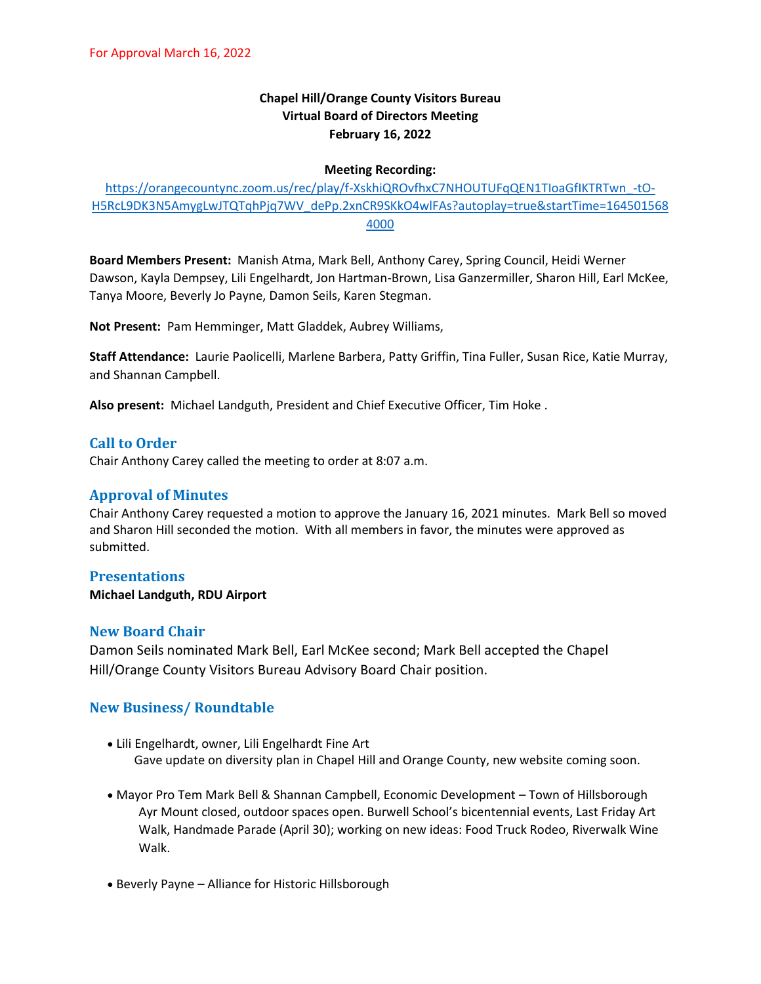# **Chapel Hill/Orange County Visitors Bureau Virtual Board of Directors Meeting February 16, 2022**

#### **Meeting Recording:**

## [https://orangecountync.zoom.us/rec/play/f-XskhiQROvfhxC7NHOUTUFqQEN1TIoaGfIKTRTwn\\_-tO-](https://orangecountync.zoom.us/rec/play/f-XskhiQROvfhxC7NHOUTUFqQEN1TIoaGfIKTRTwn_-tO-H5RcL9DK3N5AmygLwJTQTqhPjq7WV_dePp.2xnCR9SKkO4wlFAs?autoplay=true&startTime=1645015684000)[H5RcL9DK3N5AmygLwJTQTqhPjq7WV\\_dePp.2xnCR9SKkO4wlFAs?autoplay=true&startTime=164501568](https://orangecountync.zoom.us/rec/play/f-XskhiQROvfhxC7NHOUTUFqQEN1TIoaGfIKTRTwn_-tO-H5RcL9DK3N5AmygLwJTQTqhPjq7WV_dePp.2xnCR9SKkO4wlFAs?autoplay=true&startTime=1645015684000) [4000](https://orangecountync.zoom.us/rec/play/f-XskhiQROvfhxC7NHOUTUFqQEN1TIoaGfIKTRTwn_-tO-H5RcL9DK3N5AmygLwJTQTqhPjq7WV_dePp.2xnCR9SKkO4wlFAs?autoplay=true&startTime=1645015684000)

**Board Members Present:** Manish Atma, Mark Bell, Anthony Carey, Spring Council, Heidi Werner Dawson, Kayla Dempsey, Lili Engelhardt, Jon Hartman-Brown, Lisa Ganzermiller, Sharon Hill, Earl McKee, Tanya Moore, Beverly Jo Payne, Damon Seils, Karen Stegman.

**Not Present:** Pam Hemminger, Matt Gladdek, Aubrey Williams,

**Staff Attendance:** Laurie Paolicelli, Marlene Barbera, Patty Griffin, Tina Fuller, Susan Rice, Katie Murray, and Shannan Campbell.

**Also present:** Michael Landguth, President and Chief Executive Officer, Tim Hoke .

## **Call to Order**

Chair Anthony Carey called the meeting to order at 8:07 a.m.

# **Approval of Minutes**

Chair Anthony Carey requested a motion to approve the January 16, 2021 minutes. Mark Bell so moved and Sharon Hill seconded the motion. With all members in favor, the minutes were approved as submitted.

### **Presentations**

**Michael Landguth, RDU Airport**

### **New Board Chair**

Damon Seils nominated Mark Bell, Earl McKee second; Mark Bell accepted the Chapel Hill/Orange County Visitors Bureau Advisory Board Chair position.

### **New Business/ Roundtable**

- Lili Engelhardt, owner, Lili Engelhardt Fine Art Gave update on diversity plan in Chapel Hill and Orange County, new website coming soon.
- Mayor Pro Tem Mark Bell & Shannan Campbell, Economic Development Town of Hillsborough Ayr Mount closed, outdoor spaces open. Burwell School's bicentennial events, Last Friday Art Walk, Handmade Parade (April 30); working on new ideas: Food Truck Rodeo, Riverwalk Wine Walk.
- Beverly Payne Alliance for Historic Hillsborough